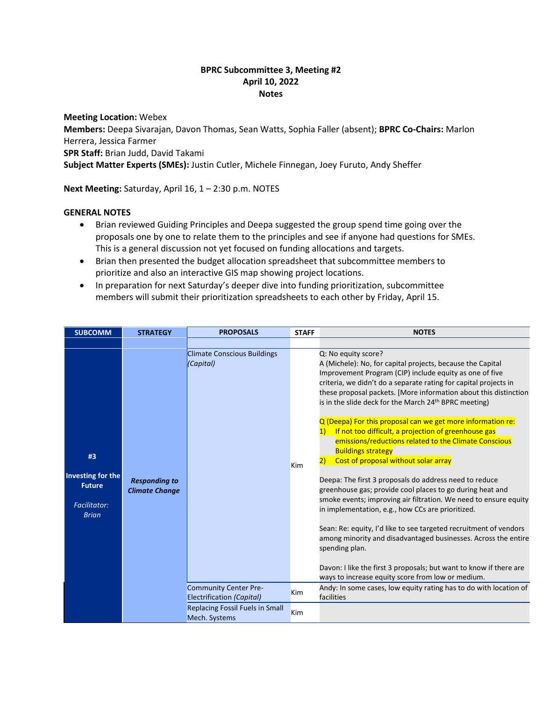## **BPRC Subcommittee 3, Meeting #2 April 10, 2022 Notes**

**Meeting Location:** Webex **Members:** Deepa Sivarajan, Davon Thomas, Sean Watts, Sophia Faller (absent); **BPRC Co-Chairs:** Marlon Herrera, Jessica Farmer **SPR Staff:** Brian Judd, David Takami **Subject Matter Experts (SMEs):** Justin Cutler, Michele Finnegan, Joey Furuto, Andy Sheffer

**Next Meeting:** Saturday, April 16, 1 – 2:30 p.m. NOTES

## **GENERAL NOTES**

- Brian reviewed Guiding Principles and Deepa suggested the group spend time going over the proposals one by one to relate them to the principles and see if anyone had questions for SMEs. This is a general discussion not yet focused on funding allocations and targets.
- Brian then presented the budget allocation spreadsheet that subcommittee members to prioritize and also an interactive GIS map showing project locations.
- In preparation for next Saturday's deeper dive into funding prioritization, subcommittee members will submit their prioritization spreadsheets to each other by Friday, April 15.

| <b>SUBCOMM</b>                                                                  | <b>STRATEGY</b>                               | <b>PROPOSALS</b>                                          | <b>STAFF</b> | <b>NOTES</b>                                                                                                                                                                                                                                                                                                                                                                                                                                                                                                                                                                                                                                                                                                                                                                                                                                                               |
|---------------------------------------------------------------------------------|-----------------------------------------------|-----------------------------------------------------------|--------------|----------------------------------------------------------------------------------------------------------------------------------------------------------------------------------------------------------------------------------------------------------------------------------------------------------------------------------------------------------------------------------------------------------------------------------------------------------------------------------------------------------------------------------------------------------------------------------------------------------------------------------------------------------------------------------------------------------------------------------------------------------------------------------------------------------------------------------------------------------------------------|
|                                                                                 |                                               |                                                           |              |                                                                                                                                                                                                                                                                                                                                                                                                                                                                                                                                                                                                                                                                                                                                                                                                                                                                            |
| #3<br>Investing for the<br><b>Future</b><br><b>Facilitator:</b><br><b>Brian</b> | <b>Responding to</b><br><b>Climate Change</b> | <b>Climate Conscious Buildings</b><br>(Capital)           | Kim          | Q: No equity score?<br>A (Michele): No, for capital projects, because the Capital<br>Improvement Program (CIP) include equity as one of five<br>criteria, we didn't do a separate rating for capital projects in<br>these proposal packets. [More information about this distinction<br>is in the slide deck for the March 24 <sup>th</sup> BPRC meeting)<br>Q (Deepa) For this proposal can we get more information re:<br>If not too difficult, a projection of greenhouse gas<br>1)<br>emissions/reductions related to the Climate Conscious<br><b>Buildings strategy</b><br>Cost of proposal without solar array<br>2)<br>Deepa: The first 3 proposals do address need to reduce<br>greenhouse gas; provide cool places to go during heat and<br>smoke events; improving air filtration. We need to ensure equity<br>in implementation, e.g., how CCs are prioritized. |
|                                                                                 |                                               |                                                           |              | Sean: Re: equity, I'd like to see targeted recruitment of vendors<br>among minority and disadvantaged businesses. Across the entire<br>spending plan.                                                                                                                                                                                                                                                                                                                                                                                                                                                                                                                                                                                                                                                                                                                      |
|                                                                                 |                                               |                                                           |              | Davon: I like the first 3 proposals; but want to know if there are<br>ways to increase equity score from low or medium.                                                                                                                                                                                                                                                                                                                                                                                                                                                                                                                                                                                                                                                                                                                                                    |
|                                                                                 |                                               | <b>Community Center Pre-</b><br>Electrification (Capital) | <b>Kim</b>   | Andy: In some cases, low equity rating has to do with location of<br>facilities                                                                                                                                                                                                                                                                                                                                                                                                                                                                                                                                                                                                                                                                                                                                                                                            |
|                                                                                 |                                               | <b>Replacing Fossil Fuels in Small</b><br>Mech. Systems   | Kim          |                                                                                                                                                                                                                                                                                                                                                                                                                                                                                                                                                                                                                                                                                                                                                                                                                                                                            |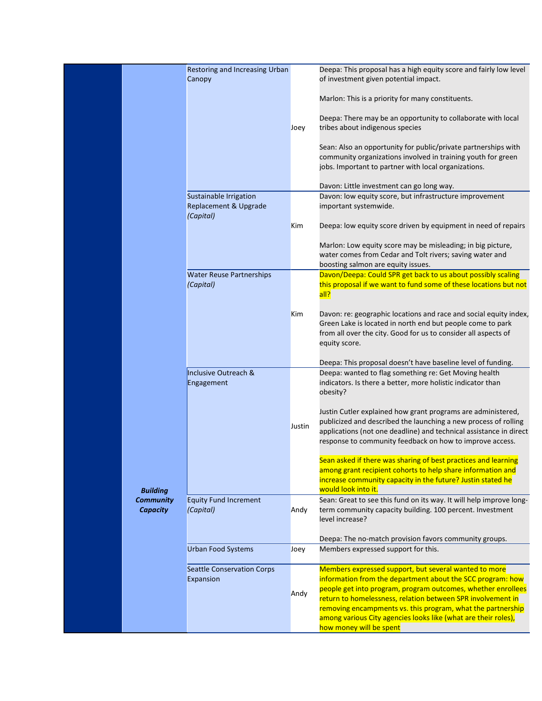|                                     | Restoring and Increasing Urban<br>Canopy       |        | Deepa: This proposal has a high equity score and fairly low level<br>of investment given potential impact.                                                                                                                                                                                                        |
|-------------------------------------|------------------------------------------------|--------|-------------------------------------------------------------------------------------------------------------------------------------------------------------------------------------------------------------------------------------------------------------------------------------------------------------------|
|                                     |                                                |        | Marlon: This is a priority for many constituents.                                                                                                                                                                                                                                                                 |
|                                     |                                                | Joey   | Deepa: There may be an opportunity to collaborate with local<br>tribes about indigenous species                                                                                                                                                                                                                   |
|                                     |                                                |        | Sean: Also an opportunity for public/private partnerships with<br>community organizations involved in training youth for green<br>jobs. Important to partner with local organizations.                                                                                                                            |
|                                     |                                                |        | Davon: Little investment can go long way.                                                                                                                                                                                                                                                                         |
|                                     | Sustainable Irrigation                         |        | Davon: low equity score, but infrastructure improvement                                                                                                                                                                                                                                                           |
|                                     | Replacement & Upgrade<br>(Capital)             |        | important systemwide.                                                                                                                                                                                                                                                                                             |
|                                     |                                                | Kim    | Deepa: low equity score driven by equipment in need of repairs                                                                                                                                                                                                                                                    |
|                                     |                                                |        | Marlon: Low equity score may be misleading; in big picture,<br>water comes from Cedar and Tolt rivers; saving water and<br>boosting salmon are equity issues.                                                                                                                                                     |
|                                     | <b>Water Reuse Partnerships</b>                |        | Davon/Deepa: Could SPR get back to us about possibly scaling                                                                                                                                                                                                                                                      |
|                                     | (Capital)                                      |        | this proposal if we want to fund some of these locations but not<br>all?                                                                                                                                                                                                                                          |
|                                     |                                                | Kim    | Davon: re: geographic locations and race and social equity index,<br>Green Lake is located in north end but people come to park<br>from all over the city. Good for us to consider all aspects of<br>equity score.                                                                                                |
|                                     |                                                |        | Deepa: This proposal doesn't have baseline level of funding.                                                                                                                                                                                                                                                      |
|                                     | Inclusive Outreach &<br>Engagement             |        | Deepa: wanted to flag something re: Get Moving health<br>indicators. Is there a better, more holistic indicator than<br>obesity?                                                                                                                                                                                  |
|                                     |                                                | Justin | Justin Cutler explained how grant programs are administered,<br>publicized and described the launching a new process of rolling<br>applications (not one deadline) and technical assistance in direct<br>response to community feedback on how to improve access.                                                 |
| <b>Building</b>                     |                                                |        | Sean asked if there was sharing of best practices and learning<br>among grant recipient cohorts to help share information and<br>increase community capacity in the future? Justin stated he<br>would look into it.                                                                                               |
| <b>Community</b><br><b>Capacity</b> | <b>Equity Fund Increment</b><br>(Capital)      | Andy   | Sean: Great to see this fund on its way. It will help improve long-<br>term community capacity building. 100 percent. Investment<br>level increase?                                                                                                                                                               |
|                                     |                                                |        | Deepa: The no-match provision favors community groups.                                                                                                                                                                                                                                                            |
|                                     | <b>Urban Food Systems</b>                      | Joey   | Members expressed support for this.                                                                                                                                                                                                                                                                               |
|                                     | <b>Seattle Conservation Corps</b><br>Expansion | Andy   | Members expressed support, but several wanted to more<br>information from the department about the SCC program: how<br>people get into program, program outcomes, whether enrollees<br>return to homelessness, relation between SPR involvement in<br>removing encampments vs. this program, what the partnership |
|                                     |                                                |        | among various City agencies looks like (what are their roles),<br>how money will be spent                                                                                                                                                                                                                         |